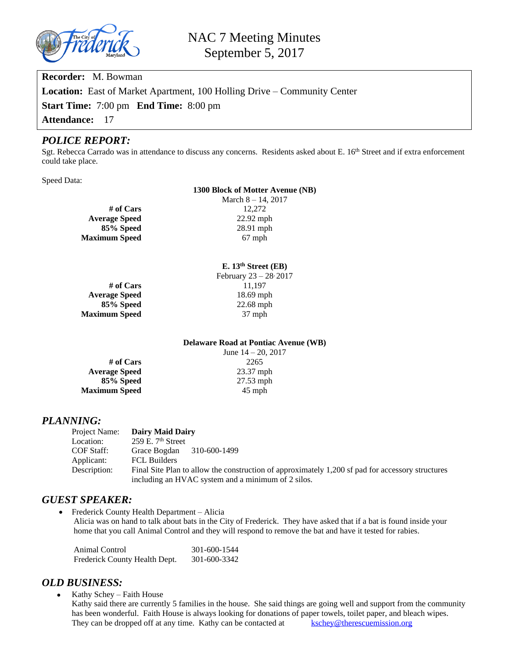

**Recorder:** M. Bowman **Location:** East of Market Apartment, 100 Holling Drive – Community Center **Start Time:** 7:00 pm **End Time:** 8:00 pm **Attendance:** 17

#### *POLICE REPORT:*

Sgt. Rebecca Carrado was in attendance to discuss any concerns. Residents asked about E. 16<sup>th</sup> Street and if extra enforcement could take place.

Speed Data:

#### **1300 Block of Motter Avenue (NB)**

March 8 – 14, 2017 **# of Cars** 12,272<br> **age Speed** 22.92 mph **85% Speed** 28.91 mph **Maximum Speed** 67 mph

#### **E. 13th Street (EB)**

**Average Speed** 18.69 mph **Maximum Speed** 37 mph

**Average Speed** 

February 23 – 28, 2017 **# of Cars** 11,197 **85% Speed** 22.68 mph

#### **Delaware Road at Pontiac Avenue (WB)** June 14 – 20, 2017

**# of Cars** 2265 **Average Speed** 23.37 mph **85% Speed** 27.53 mph **Maximum Speed** 45 mph

## *PLANNING:*

| Project Name: | Dairy Maid Dairy                                                                                 |  |  |  |  |
|---------------|--------------------------------------------------------------------------------------------------|--|--|--|--|
| Location:     | $259$ E. $7th$ Street                                                                            |  |  |  |  |
| COF Staff:    | Grace Bogdan 310-600-1499                                                                        |  |  |  |  |
| Applicant:    | <b>FCL Builders</b>                                                                              |  |  |  |  |
| Description:  | Final Site Plan to allow the construction of approximately 1,200 sf pad for accessory structures |  |  |  |  |
|               | including an HVAC system and a minimum of 2 silos.                                               |  |  |  |  |

## *GUEST SPEAKER:*

 Frederick County Health Department – Alicia Alicia was on hand to talk about bats in the City of Frederick. They have asked that if a bat is found inside your home that you call Animal Control and they will respond to remove the bat and have it tested for rabies.

| Animal Control                | 301-600-1544 |
|-------------------------------|--------------|
| Frederick County Health Dept. | 301-600-3342 |

## *OLD BUSINESS:*

 Kathy Schey – Faith House Kathy said there are currently 5 families in the house. She said things are going well and support from the community has been wonderful. Faith House is always looking for donations of paper towels, toilet paper, and bleach wipes. They can be dropped off at any time. Kathy can be contacted at [kschey@therescuemission.org](mailto:kschey@therescuemission.org)